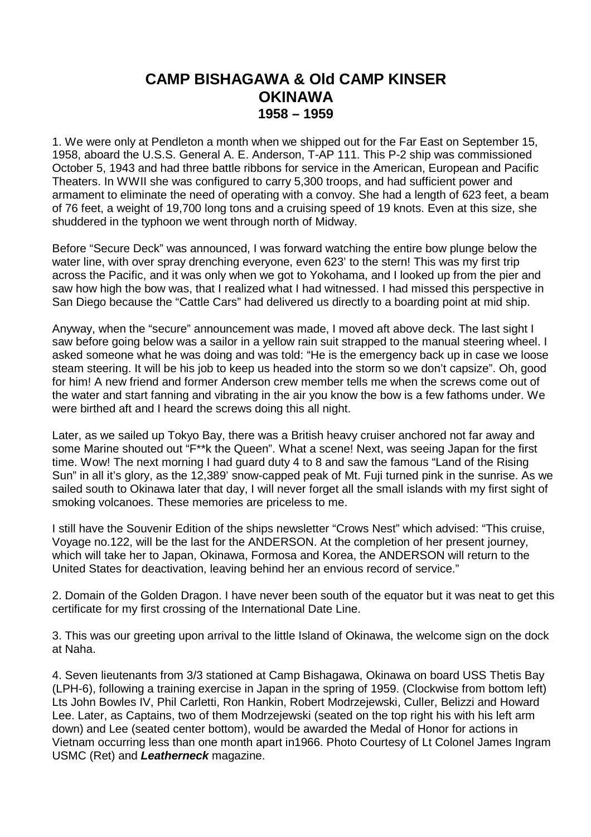## **CAMP BISHAGAWA & Old CAMP KINSER OKINAWA 1958 – 1959**

1. We were only at Pendleton a month when we shipped out for the Far East on September 15, 1958, aboard the U.S.S. General A. E. Anderson, T-AP 111. This P-2 ship was commissioned October 5, 1943 and had three battle ribbons for service in the American, European and Pacific Theaters. In WWII she was configured to carry 5,300 troops, and had sufficient power and armament to eliminate the need of operating with a convoy. She had a length of 623 feet, a beam of 76 feet, a weight of 19,700 long tons and a cruising speed of 19 knots. Even at this size, she shuddered in the typhoon we went through north of Midway.

Before "Secure Deck" was announced, I was forward watching the entire bow plunge below the water line, with over spray drenching everyone, even 623' to the stern! This was my first trip across the Pacific, and it was only when we got to Yokohama, and I looked up from the pier and saw how high the bow was, that I realized what I had witnessed. I had missed this perspective in San Diego because the "Cattle Cars" had delivered us directly to a boarding point at mid ship.

Anyway, when the "secure" announcement was made, I moved aft above deck. The last sight I saw before going below was a sailor in a yellow rain suit strapped to the manual steering wheel. I asked someone what he was doing and was told: "He is the emergency back up in case we loose steam steering. It will be his job to keep us headed into the storm so we don't capsize". Oh, good for him! A new friend and former Anderson crew member tells me when the screws come out of the water and start fanning and vibrating in the air you know the bow is a few fathoms under. We were birthed aft and I heard the screws doing this all night.

Later, as we sailed up Tokyo Bay, there was a British heavy cruiser anchored not far away and some Marine shouted out "F\*\*k the Queen". What a scene! Next, was seeing Japan for the first time. Wow! The next morning I had guard duty 4 to 8 and saw the famous "Land of the Rising Sun" in all it's glory, as the 12,389' snow-capped peak of Mt. Fuji turned pink in the sunrise. As we sailed south to Okinawa later that day, I will never forget all the small islands with my first sight of smoking volcanoes. These memories are priceless to me.

I still have the Souvenir Edition of the ships newsletter "Crows Nest" which advised: "This cruise, Voyage no.122, will be the last for the ANDERSON. At the completion of her present journey, which will take her to Japan, Okinawa, Formosa and Korea, the ANDERSON will return to the United States for deactivation, leaving behind her an envious record of service."

2. Domain of the Golden Dragon. I have never been south of the equator but it was neat to get this certificate for my first crossing of the International Date Line.

3. This was our greeting upon arrival to the little Island of Okinawa, the welcome sign on the dock at Naha.

4. Seven lieutenants from 3/3 stationed at Camp Bishagawa, Okinawa on board USS Thetis Bay (LPH-6), following a training exercise in Japan in the spring of 1959. (Clockwise from bottom left) Lts John Bowles IV, Phil Carletti, Ron Hankin, Robert Modrzejewski, Culler, Belizzi and Howard Lee. Later, as Captains, two of them Modrzejewski (seated on the top right his with his left arm down) and Lee (seated center bottom), would be awarded the Medal of Honor for actions in Vietnam occurring less than one month apart in1966. Photo Courtesy of Lt Colonel James Ingram USMC (Ret) and **Leatherneck** magazine.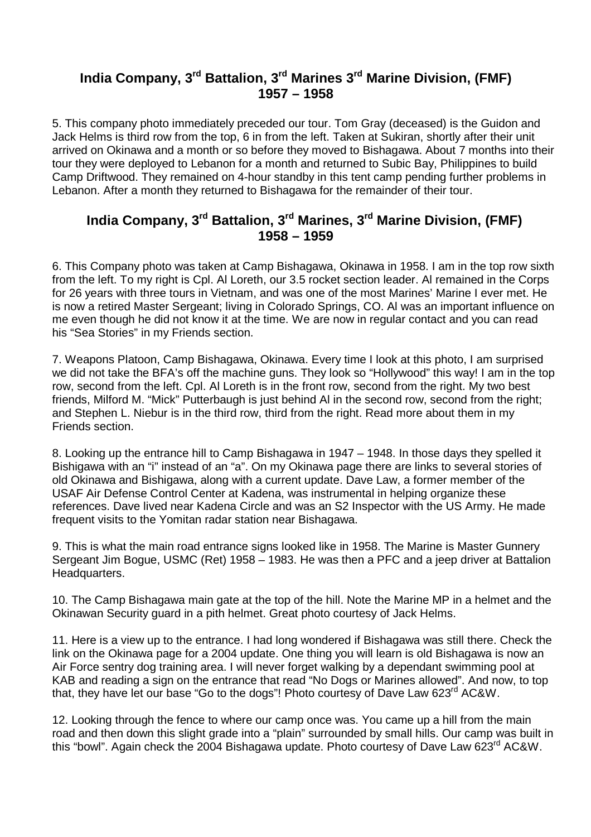## **India Company, 3rd Battalion, 3rd Marines 3rd Marine Division, (FMF) 1957 – 1958**

5. This company photo immediately preceded our tour. Tom Gray (deceased) is the Guidon and Jack Helms is third row from the top, 6 in from the left. Taken at Sukiran, shortly after their unit arrived on Okinawa and a month or so before they moved to Bishagawa. About 7 months into their tour they were deployed to Lebanon for a month and returned to Subic Bay, Philippines to build Camp Driftwood. They remained on 4-hour standby in this tent camp pending further problems in Lebanon. After a month they returned to Bishagawa for the remainder of their tour.

## **India Company, 3rd Battalion, 3rd Marines, 3rd Marine Division, (FMF) 1958 – 1959**

6. This Company photo was taken at Camp Bishagawa, Okinawa in 1958. I am in the top row sixth from the left. To my right is Cpl. Al Loreth, our 3.5 rocket section leader. Al remained in the Corps for 26 years with three tours in Vietnam, and was one of the most Marines' Marine I ever met. He is now a retired Master Sergeant; living in Colorado Springs, CO. Al was an important influence on me even though he did not know it at the time. We are now in regular contact and you can read his "Sea Stories" in my Friends section.

7. Weapons Platoon, Camp Bishagawa, Okinawa. Every time I look at this photo, I am surprised we did not take the BFA's off the machine guns. They look so "Hollywood" this way! I am in the top row, second from the left. Cpl. Al Loreth is in the front row, second from the right. My two best friends, Milford M. "Mick" Putterbaugh is just behind Al in the second row, second from the right; and Stephen L. Niebur is in the third row, third from the right. Read more about them in my Friends section.

8. Looking up the entrance hill to Camp Bishagawa in 1947 – 1948. In those days they spelled it Bishigawa with an "i" instead of an "a". On my Okinawa page there are links to several stories of old Okinawa and Bishigawa, along with a current update. Dave Law, a former member of the USAF Air Defense Control Center at Kadena, was instrumental in helping organize these references. Dave lived near Kadena Circle and was an S2 Inspector with the US Army. He made frequent visits to the Yomitan radar station near Bishagawa.

9. This is what the main road entrance signs looked like in 1958. The Marine is Master Gunnery Sergeant Jim Bogue, USMC (Ret) 1958 – 1983. He was then a PFC and a jeep driver at Battalion Headquarters.

10. The Camp Bishagawa main gate at the top of the hill. Note the Marine MP in a helmet and the Okinawan Security guard in a pith helmet. Great photo courtesy of Jack Helms.

11. Here is a view up to the entrance. I had long wondered if Bishagawa was still there. Check the link on the Okinawa page for a 2004 update. One thing you will learn is old Bishagawa is now an Air Force sentry dog training area. I will never forget walking by a dependant swimming pool at KAB and reading a sign on the entrance that read "No Dogs or Marines allowed". And now, to top that, they have let our base "Go to the dogs"! Photo courtesy of Dave Law 623<sup>rd</sup> AC&W.

12. Looking through the fence to where our camp once was. You came up a hill from the main road and then down this slight grade into a "plain" surrounded by small hills. Our camp was built in this "bowl". Again check the 2004 Bishagawa update. Photo courtesy of Dave Law 623<sup>rd</sup> AC&W.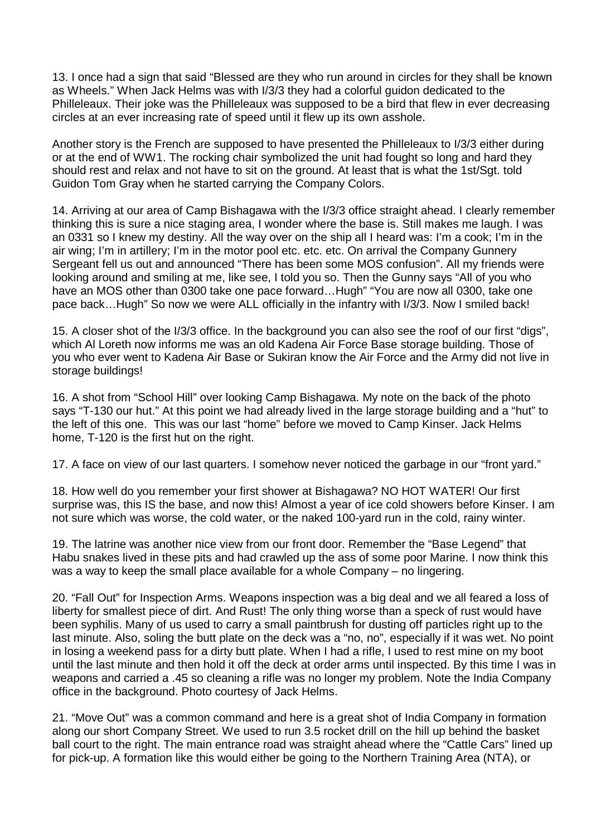13. I once had a sign that said "Blessed are they who run around in circles for they shall be known as Wheels." When Jack Helms was with I/3/3 they had a colorful guidon dedicated to the Philleleaux. Their joke was the Philleleaux was supposed to be a bird that flew in ever decreasing circles at an ever increasing rate of speed until it flew up its own asshole.

Another story is the French are supposed to have presented the Philleleaux to I/3/3 either during or at the end of WW1. The rocking chair symbolized the unit had fought so long and hard they should rest and relax and not have to sit on the ground. At least that is what the 1st/Sgt. told Guidon Tom Gray when he started carrying the Company Colors.

14. Arriving at our area of Camp Bishagawa with the I/3/3 office straight ahead. I clearly remember thinking this is sure a nice staging area, I wonder where the base is. Still makes me laugh. I was an 0331 so I knew my destiny. All the way over on the ship all I heard was: I'm a cook; I'm in the air wing; I'm in artillery; I'm in the motor pool etc. etc. etc. On arrival the Company Gunnery Sergeant fell us out and announced "There has been some MOS confusion". All my friends were looking around and smiling at me, like see, I told you so. Then the Gunny says "All of you who have an MOS other than 0300 take one pace forward...Hugh" "You are now all 0300, take one pace back…Hugh" So now we were ALL officially in the infantry with I/3/3. Now I smiled back!

15. A closer shot of the I/3/3 office. In the background you can also see the roof of our first "digs", which Al Loreth now informs me was an old Kadena Air Force Base storage building. Those of you who ever went to Kadena Air Base or Sukiran know the Air Force and the Army did not live in storage buildings!

16. A shot from "School Hill" over looking Camp Bishagawa. My note on the back of the photo says "T-130 our hut." At this point we had already lived in the large storage building and a "hut" to the left of this one. This was our last "home" before we moved to Camp Kinser. Jack Helms home, T-120 is the first hut on the right.

17. A face on view of our last quarters. I somehow never noticed the garbage in our "front yard."

 18. How well do you remember your first shower at Bishagawa? NO HOT WATER! Our first surprise was, this IS the base, and now this! Almost a year of ice cold showers before Kinser. I am not sure which was worse, the cold water, or the naked 100-yard run in the cold, rainy winter.

19. The latrine was another nice view from our front door. Remember the "Base Legend" that Habu snakes lived in these pits and had crawled up the ass of some poor Marine. I now think this was a way to keep the small place available for a whole Company – no lingering.

20. "Fall Out" for Inspection Arms. Weapons inspection was a big deal and we all feared a loss of liberty for smallest piece of dirt. And Rust! The only thing worse than a speck of rust would have been syphilis. Many of us used to carry a small paintbrush for dusting off particles right up to the last minute. Also, soling the butt plate on the deck was a "no, no", especially if it was wet. No point in losing a weekend pass for a dirty butt plate. When I had a rifle, I used to rest mine on my boot until the last minute and then hold it off the deck at order arms until inspected. By this time I was in weapons and carried a .45 so cleaning a rifle was no longer my problem. Note the India Company office in the background. Photo courtesy of Jack Helms.

21. "Move Out" was a common command and here is a great shot of India Company in formation along our short Company Street. We used to run 3.5 rocket drill on the hill up behind the basket ball court to the right. The main entrance road was straight ahead where the "Cattle Cars" lined up for pick-up. A formation like this would either be going to the Northern Training Area (NTA), or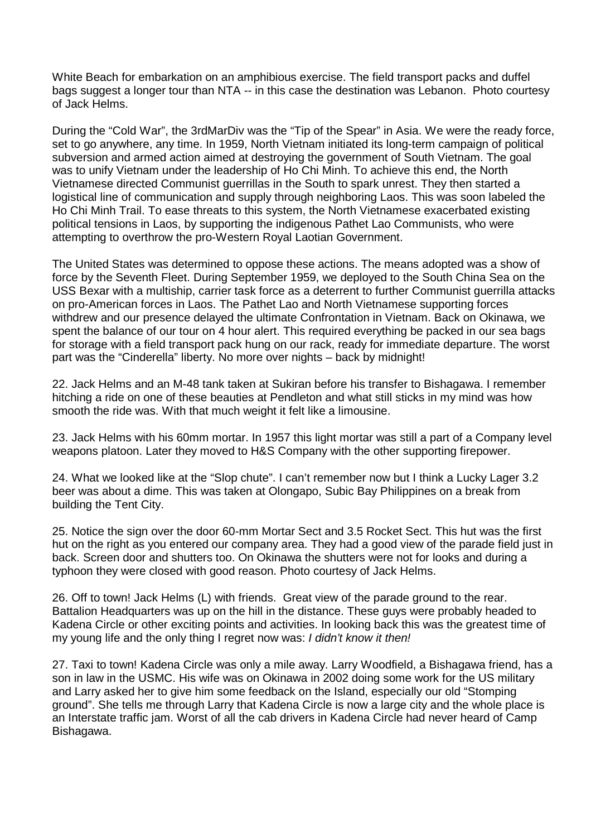White Beach for embarkation on an amphibious exercise. The field transport packs and duffel bags suggest a longer tour than NTA -- in this case the destination was Lebanon. Photo courtesy of Jack Helms.

During the "Cold War", the 3rdMarDiv was the "Tip of the Spear" in Asia. We were the ready force, set to go anywhere, any time. In 1959, North Vietnam initiated its long-term campaign of political subversion and armed action aimed at destroying the government of South Vietnam. The goal was to unify Vietnam under the leadership of Ho Chi Minh. To achieve this end, the North Vietnamese directed Communist guerrillas in the South to spark unrest. They then started a logistical line of communication and supply through neighboring Laos. This was soon labeled the Ho Chi Minh Trail. To ease threats to this system, the North Vietnamese exacerbated existing political tensions in Laos, by supporting the indigenous Pathet Lao Communists, who were attempting to overthrow the pro-Western Royal Laotian Government.

The United States was determined to oppose these actions. The means adopted was a show of force by the Seventh Fleet. During September 1959, we deployed to the South China Sea on the USS Bexar with a multiship, carrier task force as a deterrent to further Communist guerrilla attacks on pro-American forces in Laos. The Pathet Lao and North Vietnamese supporting forces withdrew and our presence delayed the ultimate Confrontation in Vietnam. Back on Okinawa, we spent the balance of our tour on 4 hour alert. This required everything be packed in our sea bags for storage with a field transport pack hung on our rack, ready for immediate departure. The worst part was the "Cinderella" liberty. No more over nights – back by midnight!

22. Jack Helms and an M-48 tank taken at Sukiran before his transfer to Bishagawa. I remember hitching a ride on one of these beauties at Pendleton and what still sticks in my mind was how smooth the ride was. With that much weight it felt like a limousine.

23. Jack Helms with his 60mm mortar. In 1957 this light mortar was still a part of a Company level weapons platoon. Later they moved to H&S Company with the other supporting firepower.

24. What we looked like at the "Slop chute". I can't remember now but I think a Lucky Lager 3.2 beer was about a dime. This was taken at Olongapo, Subic Bay Philippines on a break from building the Tent City.

25. Notice the sign over the door 60-mm Mortar Sect and 3.5 Rocket Sect. This hut was the first hut on the right as you entered our company area. They had a good view of the parade field just in back. Screen door and shutters too. On Okinawa the shutters were not for looks and during a typhoon they were closed with good reason. Photo courtesy of Jack Helms.

26. Off to town! Jack Helms (L) with friends. Great view of the parade ground to the rear. Battalion Headquarters was up on the hill in the distance. These guys were probably headed to Kadena Circle or other exciting points and activities. In looking back this was the greatest time of my young life and the only thing I regret now was: I didn't know it then!

27. Taxi to town! Kadena Circle was only a mile away. Larry Woodfield, a Bishagawa friend, has a son in law in the USMC. His wife was on Okinawa in 2002 doing some work for the US military and Larry asked her to give him some feedback on the Island, especially our old "Stomping ground". She tells me through Larry that Kadena Circle is now a large city and the whole place is an Interstate traffic jam. Worst of all the cab drivers in Kadena Circle had never heard of Camp Bishagawa.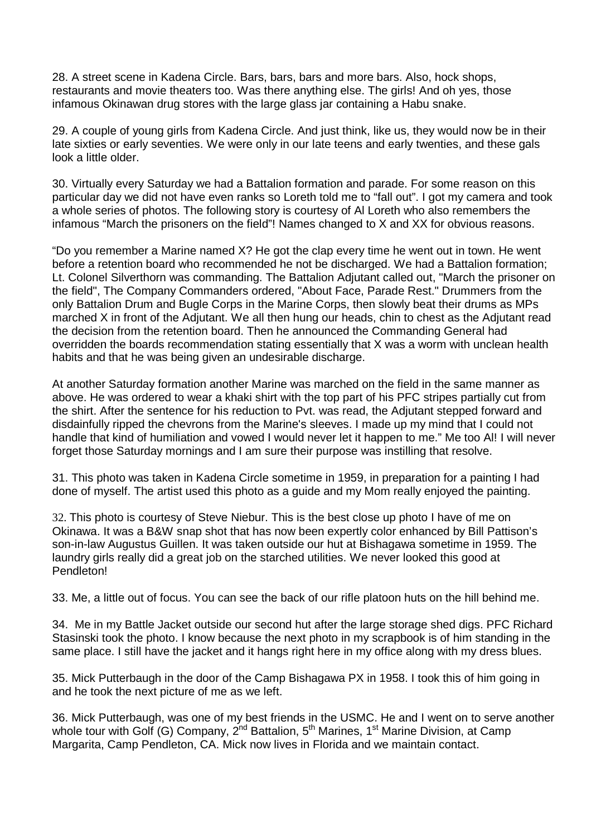28. A street scene in Kadena Circle. Bars, bars, bars and more bars. Also, hock shops, restaurants and movie theaters too. Was there anything else. The girls! And oh yes, those infamous Okinawan drug stores with the large glass jar containing a Habu snake.

29. A couple of young girls from Kadena Circle. And just think, like us, they would now be in their late sixties or early seventies. We were only in our late teens and early twenties, and these gals look a little older.

30. Virtually every Saturday we had a Battalion formation and parade. For some reason on this particular day we did not have even ranks so Loreth told me to "fall out". I got my camera and took a whole series of photos. The following story is courtesy of Al Loreth who also remembers the infamous "March the prisoners on the field"! Names changed to X and XX for obvious reasons.

"Do you remember a Marine named X? He got the clap every time he went out in town. He went before a retention board who recommended he not be discharged. We had a Battalion formation; Lt. Colonel Silverthorn was commanding. The Battalion Adjutant called out, "March the prisoner on the field", The Company Commanders ordered, "About Face, Parade Rest." Drummers from the only Battalion Drum and Bugle Corps in the Marine Corps, then slowly beat their drums as MPs marched X in front of the Adjutant. We all then hung our heads, chin to chest as the Adjutant read the decision from the retention board. Then he announced the Commanding General had overridden the boards recommendation stating essentially that X was a worm with unclean health habits and that he was being given an undesirable discharge.

At another Saturday formation another Marine was marched on the field in the same manner as above. He was ordered to wear a khaki shirt with the top part of his PFC stripes partially cut from the shirt. After the sentence for his reduction to Pvt. was read, the Adjutant stepped forward and disdainfully ripped the chevrons from the Marine's sleeves. I made up my mind that I could not handle that kind of humiliation and vowed I would never let it happen to me." Me too Al! I will never forget those Saturday mornings and I am sure their purpose was instilling that resolve.

31. This photo was taken in Kadena Circle sometime in 1959, in preparation for a painting I had done of myself. The artist used this photo as a guide and my Mom really enjoyed the painting.

32. This photo is courtesy of Steve Niebur. This is the best close up photo I have of me on Okinawa. It was a B&W snap shot that has now been expertly color enhanced by Bill Pattison's son-in-law Augustus Guillen. It was taken outside our hut at Bishagawa sometime in 1959. The laundry girls really did a great job on the starched utilities. We never looked this good at Pendleton!

33. Me, a little out of focus. You can see the back of our rifle platoon huts on the hill behind me.

 34. Me in my Battle Jacket outside our second hut after the large storage shed digs. PFC Richard Stasinski took the photo. I know because the next photo in my scrapbook is of him standing in the same place. I still have the jacket and it hangs right here in my office along with my dress blues.

 35. Mick Putterbaugh in the door of the Camp Bishagawa PX in 1958. I took this of him going in and he took the next picture of me as we left.

 36. Mick Putterbaugh, was one of my best friends in the USMC. He and I went on to serve another whole tour with Golf (G) Company, 2<sup>nd</sup> Battalion, 5<sup>th</sup> Marines, 1<sup>st</sup> Marine Division, at Camp Margarita, Camp Pendleton, CA. Mick now lives in Florida and we maintain contact.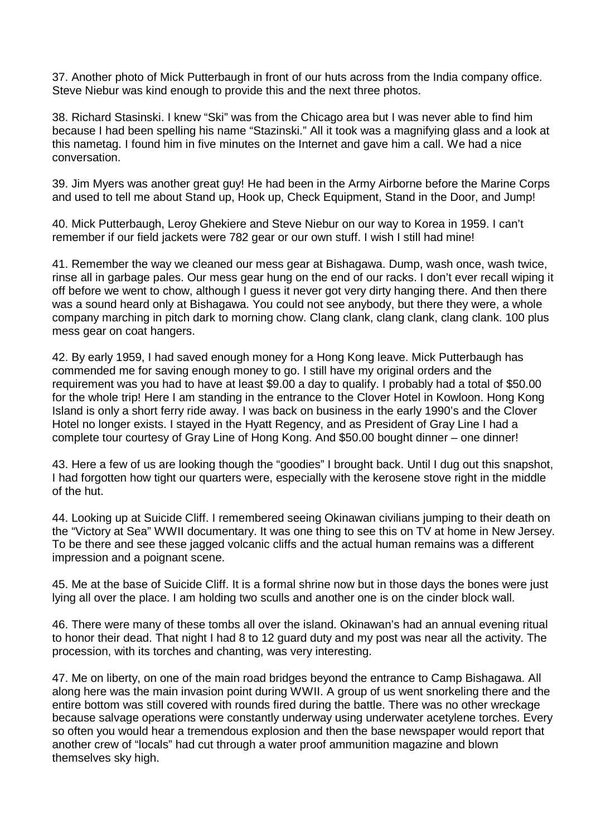37. Another photo of Mick Putterbaugh in front of our huts across from the India company office. Steve Niebur was kind enough to provide this and the next three photos.

 38. Richard Stasinski. I knew "Ski" was from the Chicago area but I was never able to find him because I had been spelling his name "Stazinski." All it took was a magnifying glass and a look at this nametag. I found him in five minutes on the Internet and gave him a call. We had a nice conversation.

 39. Jim Myers was another great guy! He had been in the Army Airborne before the Marine Corps and used to tell me about Stand up, Hook up, Check Equipment, Stand in the Door, and Jump!

 40. Mick Putterbaugh, Leroy Ghekiere and Steve Niebur on our way to Korea in 1959. I can't remember if our field jackets were 782 gear or our own stuff. I wish I still had mine!

 41. Remember the way we cleaned our mess gear at Bishagawa. Dump, wash once, wash twice, rinse all in garbage pales. Our mess gear hung on the end of our racks. I don't ever recall wiping it off before we went to chow, although I guess it never got very dirty hanging there. And then there was a sound heard only at Bishagawa. You could not see anybody, but there they were, a whole company marching in pitch dark to morning chow. Clang clank, clang clank, clang clank. 100 plus mess gear on coat hangers.

 42. By early 1959, I had saved enough money for a Hong Kong leave. Mick Putterbaugh has commended me for saving enough money to go. I still have my original orders and the requirement was you had to have at least \$9.00 a day to qualify. I probably had a total of \$50.00 for the whole trip! Here I am standing in the entrance to the Clover Hotel in Kowloon. Hong Kong Island is only a short ferry ride away. I was back on business in the early 1990's and the Clover Hotel no longer exists. I stayed in the Hyatt Regency, and as President of Gray Line I had a complete tour courtesy of Gray Line of Hong Kong. And \$50.00 bought dinner – one dinner!

 43. Here a few of us are looking though the "goodies" I brought back. Until I dug out this snapshot, I had forgotten how tight our quarters were, especially with the kerosene stove right in the middle of the hut.

 44. Looking up at Suicide Cliff. I remembered seeing Okinawan civilians jumping to their death on the "Victory at Sea" WWII documentary. It was one thing to see this on TV at home in New Jersey. To be there and see these jagged volcanic cliffs and the actual human remains was a different impression and a poignant scene.

 45. Me at the base of Suicide Cliff. It is a formal shrine now but in those days the bones were just lying all over the place. I am holding two sculls and another one is on the cinder block wall.

 46. There were many of these tombs all over the island. Okinawan's had an annual evening ritual to honor their dead. That night I had 8 to 12 guard duty and my post was near all the activity. The procession, with its torches and chanting, was very interesting.

 47. Me on liberty, on one of the main road bridges beyond the entrance to Camp Bishagawa. All along here was the main invasion point during WWII. A group of us went snorkeling there and the entire bottom was still covered with rounds fired during the battle. There was no other wreckage because salvage operations were constantly underway using underwater acetylene torches. Every so often you would hear a tremendous explosion and then the base newspaper would report that another crew of "locals" had cut through a water proof ammunition magazine and blown themselves sky high.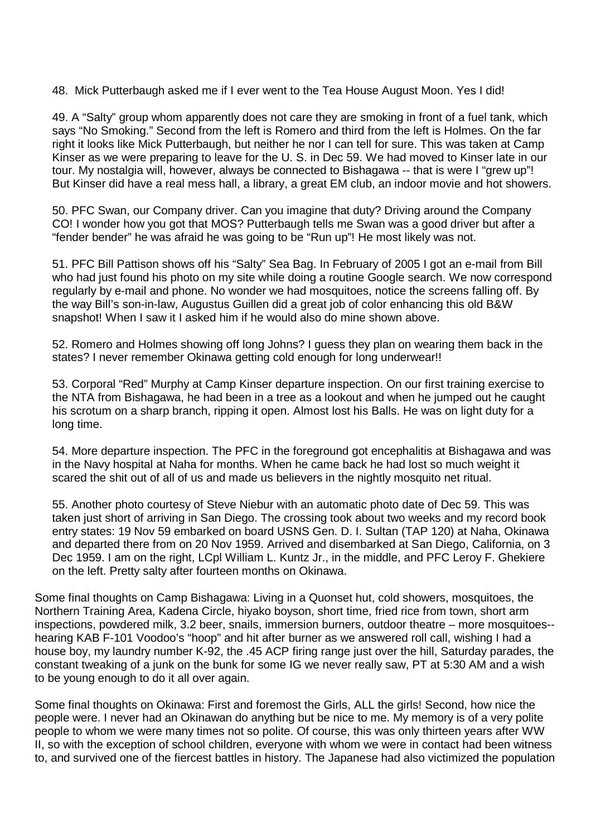48. Mick Putterbaugh asked me if I ever went to the Tea House August Moon. Yes I did!

 49. A "Salty" group whom apparently does not care they are smoking in front of a fuel tank, which says "No Smoking." Second from the left is Romero and third from the left is Holmes. On the far right it looks like Mick Putterbaugh, but neither he nor I can tell for sure. This was taken at Camp Kinser as we were preparing to leave for the U. S. in Dec 59. We had moved to Kinser late in our tour. My nostalgia will, however, always be connected to Bishagawa -- that is were I "grew up"! But Kinser did have a real mess hall, a library, a great EM club, an indoor movie and hot showers.

 50. PFC Swan, our Company driver. Can you imagine that duty? Driving around the Company CO! I wonder how you got that MOS? Putterbaugh tells me Swan was a good driver but after a "fender bender" he was afraid he was going to be "Run up"! He most likely was not.

 51. PFC Bill Pattison shows off his "Salty" Sea Bag. In February of 2005 I got an e-mail from Bill who had just found his photo on my site while doing a routine Google search. We now correspond regularly by e-mail and phone. No wonder we had mosquitoes, notice the screens falling off. By the way Bill's son-in-law, Augustus Guillen did a great job of color enhancing this old B&W snapshot! When I saw it I asked him if he would also do mine shown above.

 52. Romero and Holmes showing off long Johns? I guess they plan on wearing them back in the states? I never remember Okinawa getting cold enough for long underwear!!

 53. Corporal "Red" Murphy at Camp Kinser departure inspection. On our first training exercise to the NTA from Bishagawa, he had been in a tree as a lookout and when he jumped out he caught his scrotum on a sharp branch, ripping it open. Almost lost his Balls. He was on light duty for a long time.

 54. More departure inspection. The PFC in the foreground got encephalitis at Bishagawa and was in the Navy hospital at Naha for months. When he came back he had lost so much weight it scared the shit out of all of us and made us believers in the nightly mosquito net ritual.

 55. Another photo courtesy of Steve Niebur with an automatic photo date of Dec 59. This was taken just short of arriving in San Diego. The crossing took about two weeks and my record book entry states: 19 Nov 59 embarked on board USNS Gen. D. I. Sultan (TAP 120) at Naha, Okinawa and departed there from on 20 Nov 1959. Arrived and disembarked at San Diego, California, on 3 Dec 1959. I am on the right, LCpl William L. Kuntz Jr., in the middle, and PFC Leroy F. Ghekiere on the left. Pretty salty after fourteen months on Okinawa.

Some final thoughts on Camp Bishagawa: Living in a Quonset hut, cold showers, mosquitoes, the Northern Training Area, Kadena Circle, hiyako boyson, short time, fried rice from town, short arm inspections, powdered milk, 3.2 beer, snails, immersion burners, outdoor theatre – more mosquitoes- hearing KAB F-101 Voodoo's "hoop" and hit after burner as we answered roll call, wishing I had a house boy, my laundry number K-92, the .45 ACP firing range just over the hill, Saturday parades, the constant tweaking of a junk on the bunk for some IG we never really saw, PT at 5:30 AM and a wish to be young enough to do it all over again.

Some final thoughts on Okinawa: First and foremost the Girls, ALL the girls! Second, how nice the people were. I never had an Okinawan do anything but be nice to me. My memory is of a very polite people to whom we were many times not so polite. Of course, this was only thirteen years after WW II, so with the exception of school children, everyone with whom we were in contact had been witness to, and survived one of the fiercest battles in history. The Japanese had also victimized the population